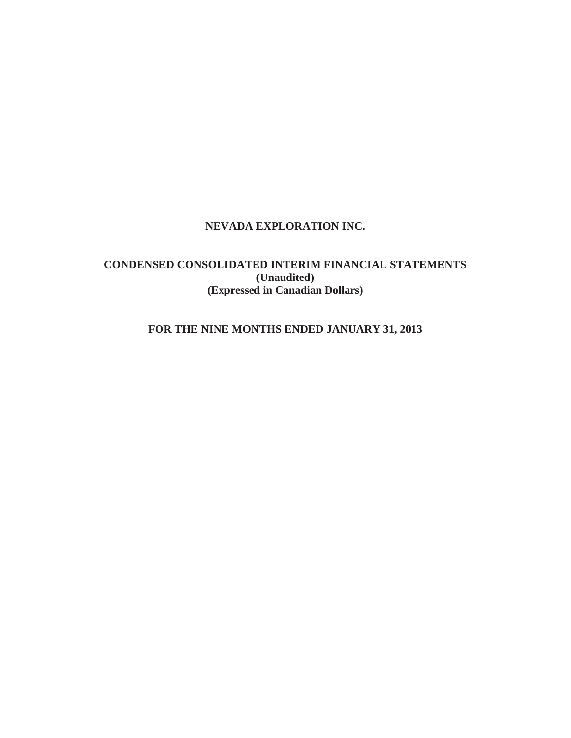# **NEVADA EXPLORATION INC.**

# **CONDENSED CONSOLIDATED INTERIM FINANCIAL STATEMENTS (Unaudited) (Expressed in Canadian Dollars)**

# **FOR THE NINE MONTHS ENDED JANUARY 31, 2013**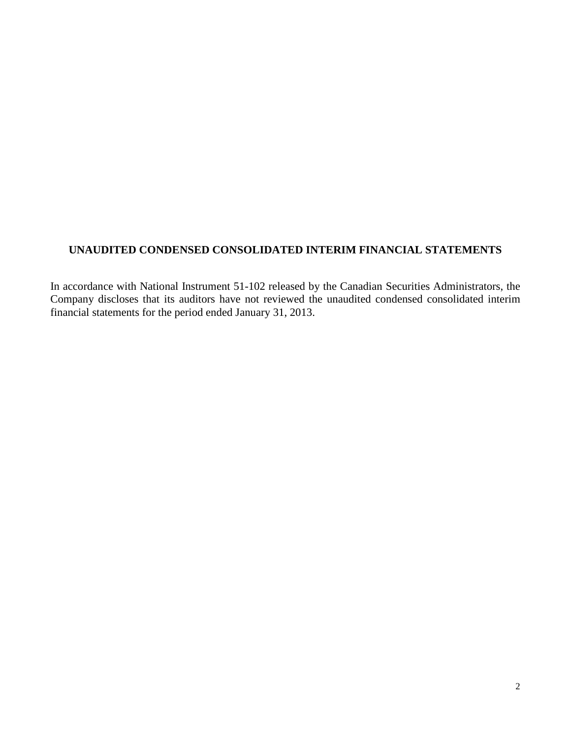# **UNAUDITED CONDENSED CONSOLIDATED INTERIM FINANCIAL STATEMENTS**

In accordance with National Instrument 51-102 released by the Canadian Securities Administrators, the Company discloses that its auditors have not reviewed the unaudited condensed consolidated interim financial statements for the period ended January 31, 2013.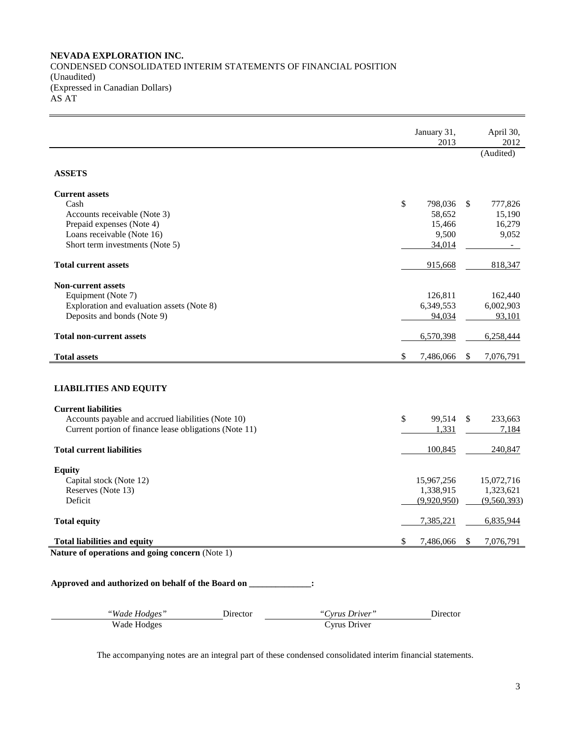### **NEVADA EXPLORATION INC.** CONDENSED CONSOLIDATED INTERIM STATEMENTS OF FINANCIAL POSITION (Unaudited) (Expressed in Canadian Dollars) AS AT

January 31, 2013 April 30, 2012 (Audited) **ASSETS Current assets** Cash **\$** 798,036 \$ 777,826 Accounts receivable (Note 3) 58,652 15,190 Prepaid expenses (Note 4) 15,466 16,279 Loans receivable (Note 16) 9,052 Short term investments (Note 5) 34,014 **Total current assets** 818,347 **Non-current assets** Equipment (Note 7) 126,811 162,440 Exploration and evaluation assets (Note 8) 6,349,553 6,002,903 Deposits and bonds (Note 9) 94,034 93,101 **Total non-current assets** 6,570,398 6,258,444 **Total assets**  $\frac{1}{2}$  **7,486,066**  $\frac{1}{2}$  **7,486,066**  $\frac{1}{2}$  **7,486,066**  $\frac{1}{2}$  **7,076,791 LIABILITIES AND EQUITY Current liabilities** Accounts payable and accrued liabilities (Note 10)  $\qquad$  \$ 99,514 \$ 233,663 Current portion of finance lease obligations (Note 11) 1,331 1,331 7,184 **Total current liabilities** 100,845 240,847 **Equity**  Capital stock (Note 12) 15,967,256 15,072,716 Reserves (Note 13) 1,338,915 1,323,621 Deficit (9,920,950) (9,560,393) **Total equity** 6,835,944 **6,835,944 6,835,944 Total liabilities and equity and equity and the set of the set of the set of the set of the set of the set of the set of the set of the set of the set of the set of the set of the set of the set of the set of the set Nature of operations and going concern** (Note 1) **Approved and authorized on behalf of the Board on \_\_\_\_\_\_\_\_\_\_\_\_\_\_:**

*"Wade Hodges"* Director *"Cyrus Driver"* Director Wade Hodges Cyrus Driver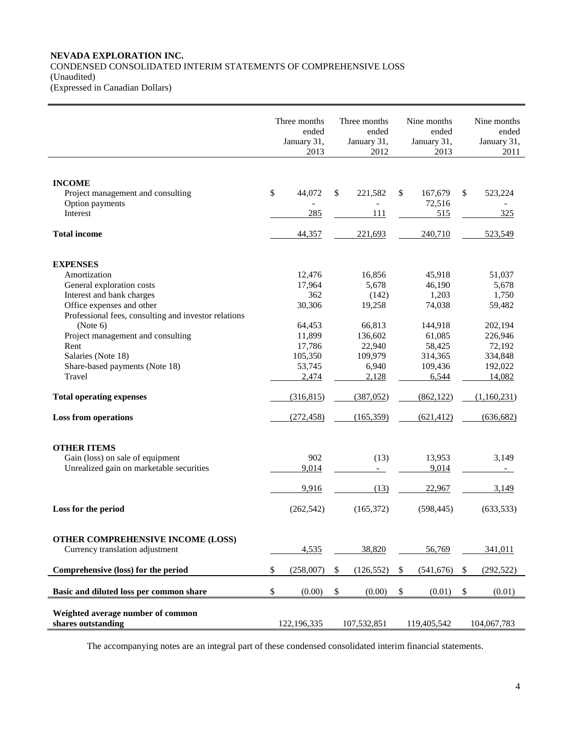### **NEVADA EXPLORATION INC.** CONDENSED CONSOLIDATED INTERIM STATEMENTS OF COMPREHENSIVE LOSS (Unaudited) (Expressed in Canadian Dollars)

|                                                         | Three months<br>ended<br>January 31,<br>2013 |        | Three months<br>ended<br>January 31,<br>2012 | Nine months<br>ended<br>January 31,<br>2013 |                           | Nine months<br>ended<br>January 31,<br>2011 |
|---------------------------------------------------------|----------------------------------------------|--------|----------------------------------------------|---------------------------------------------|---------------------------|---------------------------------------------|
| <b>INCOME</b>                                           |                                              |        |                                              |                                             |                           |                                             |
| Project management and consulting<br>Option payments    | \$<br>44,072                                 | \$     | 221,582                                      | \$<br>167,679<br>72,516                     | \$                        | 523,224                                     |
| Interest                                                | 285                                          |        | 111                                          | 515                                         |                           | 325                                         |
| <b>Total income</b>                                     | 44,357                                       |        | 221,693                                      | 240,710                                     |                           | 523,549                                     |
| <b>EXPENSES</b>                                         |                                              |        |                                              |                                             |                           |                                             |
| Amortization                                            | 12,476                                       |        | 16,856                                       | 45,918                                      |                           | 51,037                                      |
| General exploration costs                               | 17,964                                       |        | 5,678                                        | 46,190                                      |                           | 5,678                                       |
| Interest and bank charges                               | 362                                          |        | (142)                                        | 1,203                                       |                           | 1,750                                       |
| Office expenses and other                               | 30,306                                       |        | 19,258                                       | 74,038                                      |                           | 59,482                                      |
| Professional fees, consulting and investor relations    |                                              |        |                                              |                                             |                           |                                             |
| (Note 6)                                                | 64,453                                       |        | 66,813                                       | 144,918                                     |                           | 202,194                                     |
| Project management and consulting                       | 11,899                                       |        | 136,602                                      | 61,085                                      |                           | 226,946                                     |
| Rent                                                    | 17,786                                       |        | 22,940                                       | 58,425                                      |                           | 72,192                                      |
| Salaries (Note 18)                                      | 105,350                                      |        | 109,979                                      | 314,365                                     |                           | 334,848                                     |
| Share-based payments (Note 18)<br>Travel                | 53,745                                       |        | 6,940                                        | 109,436                                     |                           | 192,022                                     |
|                                                         | 2,474                                        |        | 2,128                                        | 6,544                                       |                           | 14,082                                      |
| <b>Total operating expenses</b>                         | (316, 815)                                   |        | (387,052)                                    | (862, 122)                                  |                           | (1,160,231)                                 |
| <b>Loss from operations</b>                             | (272, 458)                                   |        | (165, 359)                                   | (621, 412)                                  |                           | (636, 682)                                  |
| <b>OTHER ITEMS</b>                                      |                                              |        |                                              |                                             |                           |                                             |
| Gain (loss) on sale of equipment                        | 902                                          |        | (13)                                         | 13,953                                      |                           | 3,149                                       |
| Unrealized gain on marketable securities                | 9,014                                        |        |                                              | 9,014                                       |                           |                                             |
|                                                         | 9,916                                        |        | (13)                                         | 22,967                                      |                           | 3,149                                       |
| Loss for the period                                     | (262, 542)                                   |        | (165, 372)                                   | (598, 445)                                  |                           | (633, 533)                                  |
| OTHER COMPREHENSIVE INCOME (LOSS)                       |                                              |        |                                              |                                             |                           |                                             |
| Currency translation adjustment                         | 4,535                                        |        | 38,820                                       | 56,769                                      |                           | 341,011                                     |
| Comprehensive (loss) for the period                     | \$<br>(258,007)                              | \$     | (126, 552)                                   | \$<br>(541, 676)                            | $\boldsymbol{\mathsf{S}}$ | (292, 522)                                  |
| Basic and diluted loss per common share                 | \$<br>(0.00)                                 | $\$\,$ | (0.00)                                       | \$<br>(0.01)                                | \$                        | (0.01)                                      |
| Weighted average number of common<br>shares outstanding | 122,196,335                                  |        | 107,532,851                                  | 119,405,542                                 |                           | 104,067,783                                 |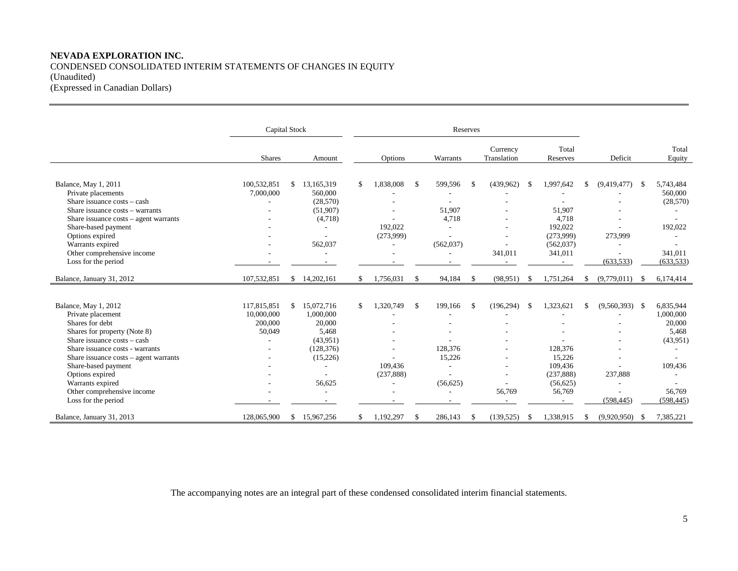# **NEVADA EXPLORATION INC.** CONDENSED CONSOLIDATED INTERIM STATEMENTS OF CHANGES IN EQUITY (Unaudited) (Expressed in Canadian Dollars)

|                                                                                                                                                                                                                                                                                                                                 |                                                | Capital Stock<br>Reserves |                                                                                            |     |                                    |               |                                           |               |                                                  |     |                                                                               |                                                 |              |                                                                                          |
|---------------------------------------------------------------------------------------------------------------------------------------------------------------------------------------------------------------------------------------------------------------------------------------------------------------------------------|------------------------------------------------|---------------------------|--------------------------------------------------------------------------------------------|-----|------------------------------------|---------------|-------------------------------------------|---------------|--------------------------------------------------|-----|-------------------------------------------------------------------------------|-------------------------------------------------|--------------|------------------------------------------------------------------------------------------|
|                                                                                                                                                                                                                                                                                                                                 | <b>Shares</b>                                  |                           | Amount                                                                                     |     | Options                            |               | Warrants                                  |               | Currency<br>Translation                          |     | Total<br>Reserves                                                             | Deficit                                         |              | Total<br>Equity                                                                          |
| Balance, May 1, 2011<br>Private placements<br>Share issuance costs – cash<br>Share issuance costs - warrants<br>Share issuance $costs - agent \, warrants$<br>Share-based payment<br>Options expired<br>Warrants expired<br>Other comprehensive income<br>Loss for the period                                                   | 100,532,851<br>7,000,000                       | \$                        | 13,165,319<br>560,000<br>(28,570)<br>(51,907)<br>(4,718)<br>562,037                        | \$. | 1,838,008<br>192,022<br>(273,999)  | -\$           | 599,596<br>51,907<br>4,718<br>(562, 037)  | -\$           | (439,962)<br>341,011                             |     | 1,997,642<br>51,907<br>4,718<br>192,022<br>(273,999)<br>(562, 037)<br>341,011 | \$<br>(9,419,477)<br>273,999<br>(633, 533)      | $\mathbb{S}$ | 5,743,484<br>560,000<br>(28, 570)<br>192,022<br>341,011<br>(633, 533)                    |
| Balance, January 31, 2012                                                                                                                                                                                                                                                                                                       | 107,532,851                                    | \$                        | 14,202,161                                                                                 | S.  | 1,756,031                          | $\mathbb{S}$  | 94,184                                    | $\mathbf{\$}$ | (98, 951)                                        |     | 1,751,264                                                                     | \$<br>(9,779,011)                               | - \$         | 6,174,414                                                                                |
| Balance, May 1, 2012<br>Private placement<br>Shares for debt<br>Shares for property (Note 8)<br>Share issuance costs – cash<br>Share issuance costs - warrants<br>Share issuance $costs - agent \, warrants$<br>Share-based payment<br>Options expired<br>Warrants expired<br>Other comprehensive income<br>Loss for the period | 117,815,851<br>10,000,000<br>200,000<br>50,049 | \$                        | 15,072,716<br>1,000,000<br>20,000<br>5,468<br>(43,951)<br>(128, 376)<br>(15,226)<br>56,625 | \$  | 1,320,749<br>109.436<br>(237, 888) | <sup>\$</sup> | 199,166<br>128,376<br>15,226<br>(56, 625) | <sup>\$</sup> | (196, 294)<br>$\overline{\phantom{a}}$<br>56,769 | -\$ | 1,323,621<br>128,376<br>15,226<br>109.436<br>(237, 888)<br>(56,625)<br>56,769 | \$<br>$(9,560,393)$ \$<br>237,888<br>(598, 445) |              | 6,835,944<br>1,000,000<br>20,000<br>5,468<br>(43,951)<br>109,436<br>56,769<br>(598, 445) |
| Balance, January 31, 2013                                                                                                                                                                                                                                                                                                       | 128,065,900                                    | S.                        | 15,967,256                                                                                 | \$. | 1,192,297                          | \$            | 286,143                                   | \$            | (139, 525)                                       |     | 1,338,915                                                                     | \$<br>(9,920,950)                               | - \$         | 7,385,221                                                                                |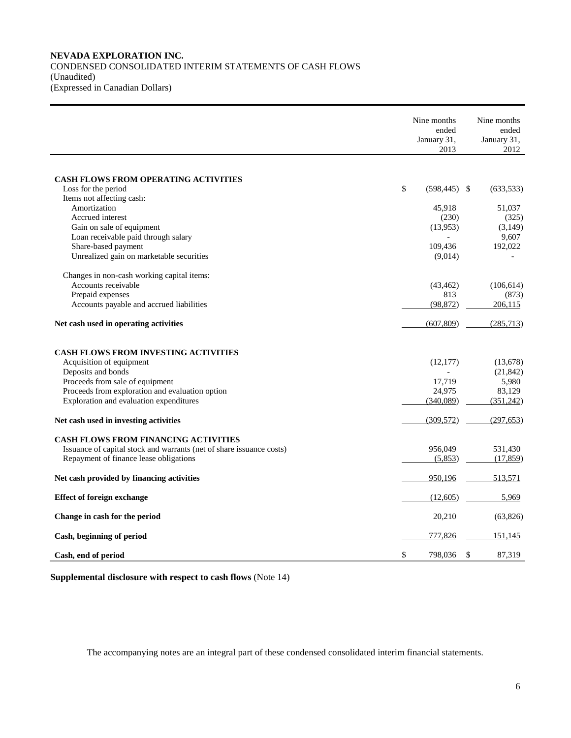### **NEVADA EXPLORATION INC.** CONDENSED CONSOLIDATED INTERIM STATEMENTS OF CASH FLOWS (Unaudited) (Expressed in Canadian Dollars)

|                                                                      | Nine months<br>ended<br>January 31,<br>2013 | Nine months<br>ended<br>January 31,<br>2012 |
|----------------------------------------------------------------------|---------------------------------------------|---------------------------------------------|
|                                                                      |                                             |                                             |
| <b>CASH FLOWS FROM OPERATING ACTIVITIES</b>                          |                                             |                                             |
| Loss for the period                                                  | \$<br>$(598, 445)$ \$                       | (633, 533)                                  |
| Items not affecting cash:                                            |                                             |                                             |
| Amortization                                                         | 45,918                                      | 51,037                                      |
| Accrued interest                                                     | (230)                                       | (325)                                       |
| Gain on sale of equipment                                            | (13,953)                                    | (3,149)                                     |
| Loan receivable paid through salary                                  |                                             | 9,607                                       |
| Share-based payment                                                  | 109,436                                     | 192,022                                     |
| Unrealized gain on marketable securities                             | (9,014)                                     |                                             |
| Changes in non-cash working capital items:                           |                                             |                                             |
| Accounts receivable                                                  | (43, 462)                                   | (106, 614)                                  |
| Prepaid expenses                                                     | 813                                         | (873)                                       |
| Accounts payable and accrued liabilities                             | (98, 872)                                   | 206,115                                     |
| Net cash used in operating activities                                | (607, 809)                                  | (285,713)                                   |
|                                                                      |                                             |                                             |
| <b>CASH FLOWS FROM INVESTING ACTIVITIES</b>                          |                                             |                                             |
| Acquisition of equipment                                             | (12, 177)                                   | (13,678)                                    |
| Deposits and bonds                                                   |                                             | (21, 842)                                   |
| Proceeds from sale of equipment                                      | 17,719                                      | 5,980                                       |
| Proceeds from exploration and evaluation option                      | 24,975                                      | 83,129                                      |
| Exploration and evaluation expenditures                              | (340,089)                                   | (351,242)                                   |
| Net cash used in investing activities                                | (309, 572)                                  | (297, 653)                                  |
| <b>CASH FLOWS FROM FINANCING ACTIVITIES</b>                          |                                             |                                             |
| Issuance of capital stock and warrants (net of share issuance costs) | 956,049                                     | 531,430                                     |
| Repayment of finance lease obligations                               | (5,853)                                     | (17, 859)                                   |
| Net cash provided by financing activities                            | 950,196                                     | 513,571                                     |
| <b>Effect of foreign exchange</b>                                    | (12,605)                                    | 5,969                                       |
| Change in cash for the period                                        | 20,210                                      | (63, 826)                                   |
| Cash, beginning of period                                            | 777,826                                     | 151,145                                     |
| Cash, end of period                                                  | \$<br>798,036                               | \$<br>87,319                                |

**Supplemental disclosure with respect to cash flows** (Note 14)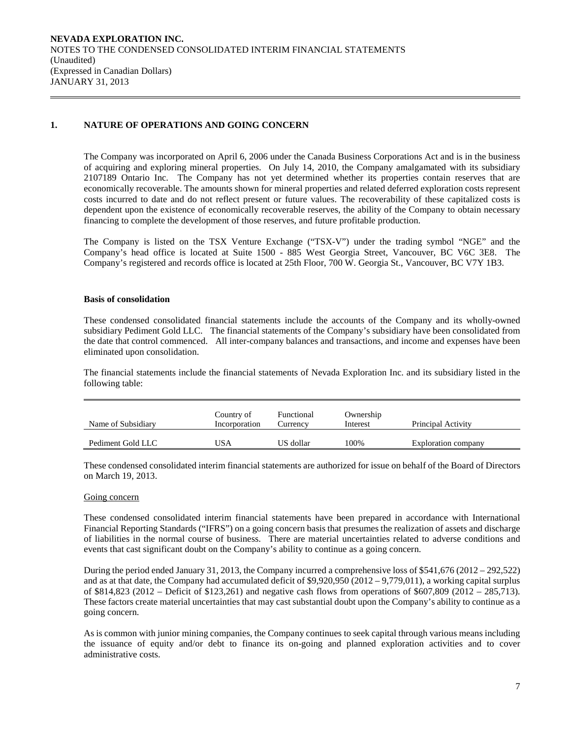# **1. NATURE OF OPERATIONS AND GOING CONCERN**

The Company was incorporated on April 6, 2006 under the Canada Business Corporations Act and is in the business of acquiring and exploring mineral properties. On July 14, 2010, the Company amalgamated with its subsidiary 2107189 Ontario Inc. The Company has not yet determined whether its properties contain reserves that are economically recoverable. The amounts shown for mineral properties and related deferred exploration costs represent costs incurred to date and do not reflect present or future values. The recoverability of these capitalized costs is dependent upon the existence of economically recoverable reserves, the ability of the Company to obtain necessary financing to complete the development of those reserves, and future profitable production.

The Company is listed on the TSX Venture Exchange ("TSX-V") under the trading symbol "NGE" and the Company's head office is located at Suite 1500 - 885 West Georgia Street, Vancouver, BC V6C 3E8. The Company's registered and records office is located at 25th Floor, 700 W. Georgia St., Vancouver, BC V7Y 1B3.

#### **Basis of consolidation**

These condensed consolidated financial statements include the accounts of the Company and its wholly-owned subsidiary Pediment Gold LLC. The financial statements of the Company's subsidiary have been consolidated from the date that control commenced. All inter-company balances and transactions, and income and expenses have been eliminated upon consolidation.

The financial statements include the financial statements of Nevada Exploration Inc. and its subsidiary listed in the following table:

| Name of Subsidiary | Country of<br>Incorporation | Functional<br>Currencv | Ownership<br>Interest | Principal Activity  |
|--------------------|-----------------------------|------------------------|-----------------------|---------------------|
| Pediment Gold LLC  | JSA                         | US dollar              | 100%                  | Exploration company |

These condensed consolidated interim financial statements are authorized for issue on behalf of the Board of Directors on March 19, 2013.

#### Going concern

These condensed consolidated interim financial statements have been prepared in accordance with International Financial Reporting Standards ("IFRS") on a going concern basis that presumes the realization of assets and discharge of liabilities in the normal course of business. There are material uncertainties related to adverse conditions and events that cast significant doubt on the Company's ability to continue as a going concern.

During the period ended January 31, 2013, the Company incurred a comprehensive loss of \$541,676 (2012 – 292,522) and as at that date, the Company had accumulated deficit of \$9,920,950 (2012 – 9,779,011), a working capital surplus of \$814,823 (2012 – Deficit of \$123,261) and negative cash flows from operations of \$607,809 (2012 – 285,713). These factors create material uncertainties that may cast substantial doubt upon the Company's ability to continue as a going concern.

As is common with junior mining companies, the Company continues to seek capital through various means including the issuance of equity and/or debt to finance its on-going and planned exploration activities and to cover administrative costs.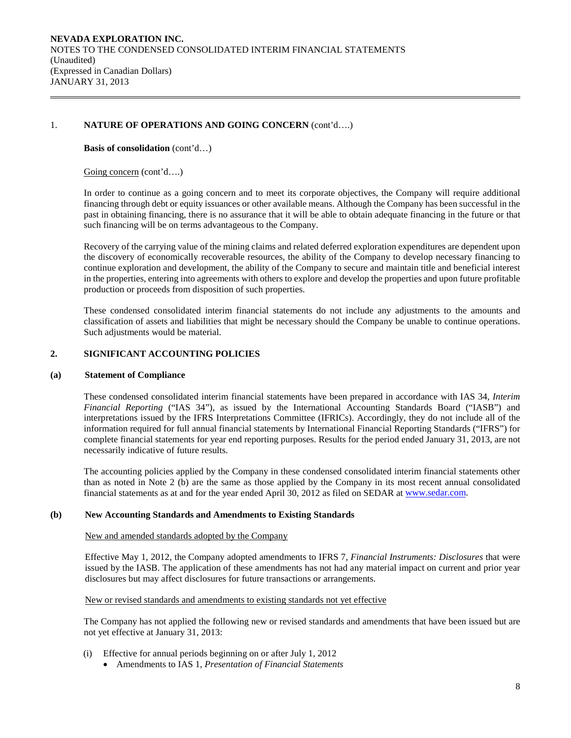# 1. **NATURE OF OPERATIONS AND GOING CONCERN** (cont'd….)

### **Basis of consolidation** (cont'd…)

### Going concern (cont'd….)

In order to continue as a going concern and to meet its corporate objectives, the Company will require additional financing through debt or equity issuances or other available means. Although the Company has been successful in the past in obtaining financing, there is no assurance that it will be able to obtain adequate financing in the future or that such financing will be on terms advantageous to the Company.

Recovery of the carrying value of the mining claims and related deferred exploration expenditures are dependent upon the discovery of economically recoverable resources, the ability of the Company to develop necessary financing to continue exploration and development, the ability of the Company to secure and maintain title and beneficial interest in the properties, entering into agreements with others to explore and develop the properties and upon future profitable production or proceeds from disposition of such properties.

These condensed consolidated interim financial statements do not include any adjustments to the amounts and classification of assets and liabilities that might be necessary should the Company be unable to continue operations. Such adjustments would be material.

# **2. SIGNIFICANT ACCOUNTING POLICIES**

#### **(a) Statement of Compliance**

These condensed consolidated interim financial statements have been prepared in accordance with IAS 34, *Interim Financial Reporting* ("IAS 34"), as issued by the International Accounting Standards Board ("IASB") and interpretations issued by the IFRS Interpretations Committee (IFRICs). Accordingly, they do not include all of the information required for full annual financial statements by International Financial Reporting Standards ("IFRS") for complete financial statements for year end reporting purposes. Results for the period ended January 31, 2013, are not necessarily indicative of future results.

The accounting policies applied by the Company in these condensed consolidated interim financial statements other than as noted in Note 2 (b) are the same as those applied by the Company in its most recent annual consolidated financial statements as at and for the year ended April 30, 2012 as filed on SEDAR at [www.sedar.com.](http://www.sedar.com/)

# **(b) New Accounting Standards and Amendments to Existing Standards**

#### New and amended standards adopted by the Company

Effective May 1, 2012, the Company adopted amendments to IFRS 7, *Financial Instruments: Disclosures* that were issued by the IASB. The application of these amendments has not had any material impact on current and prior year disclosures but may affect disclosures for future transactions or arrangements.

# New or revised standards and amendments to existing standards not yet effective

The Company has not applied the following new or revised standards and amendments that have been issued but are not yet effective at January 31, 2013:

- (i) Effective for annual periods beginning on or after July 1, 2012
	- Amendments to IAS 1, *Presentation of Financial Statements*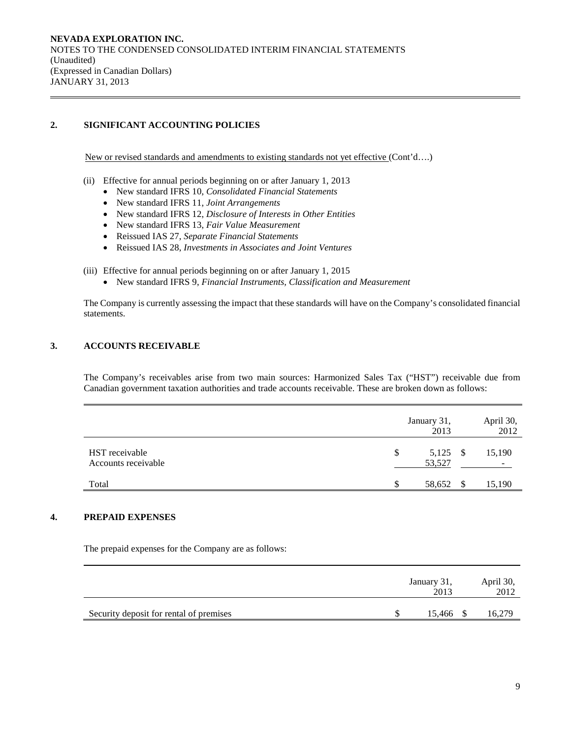# **2. SIGNIFICANT ACCOUNTING POLICIES**

New or revised standards and amendments to existing standards not yet effective (Cont'd….)

- (ii) Effective for annual periods beginning on or after January 1, 2013
	- New standard IFRS 10, *Consolidated Financial Statements*
	- New standard IFRS 11, *Joint Arrangements*
	- New standard IFRS 12, *Disclosure of Interests in Other Entities*
	- New standard IFRS 13, *Fair Value Measurement*
	- Reissued IAS 27, *Separate Financial Statements*
	- Reissued IAS 28, *Investments in Associates and Joint Ventures*

(iii) Effective for annual periods beginning on or after January 1, 2015

• New standard IFRS 9, *Financial Instruments, Classification and Measurement*

The Company is currently assessing the impact that these standards will have on the Company's consolidated financial statements.

# **3. ACCOUNTS RECEIVABLE**

The Company's receivables arise from two main sources: Harmonized Sales Tax ("HST") receivable due from Canadian government taxation authorities and trade accounts receivable. These are broken down as follows:

|                                       | January 31,<br>2013      | April 30,<br>2012 |
|---------------------------------------|--------------------------|-------------------|
| HST receivable<br>Accounts receivable | \$<br>5,125 \$<br>53,527 | 15,190<br>۰.      |
| Total                                 | 58,652                   | 15,190            |

# **4. PREPAID EXPENSES**

The prepaid expenses for the Company are as follows:

|                                         | January 31,<br>2013 | April 30,<br>2012 |
|-----------------------------------------|---------------------|-------------------|
| Security deposit for rental of premises | 15.466 \$           | 16,279            |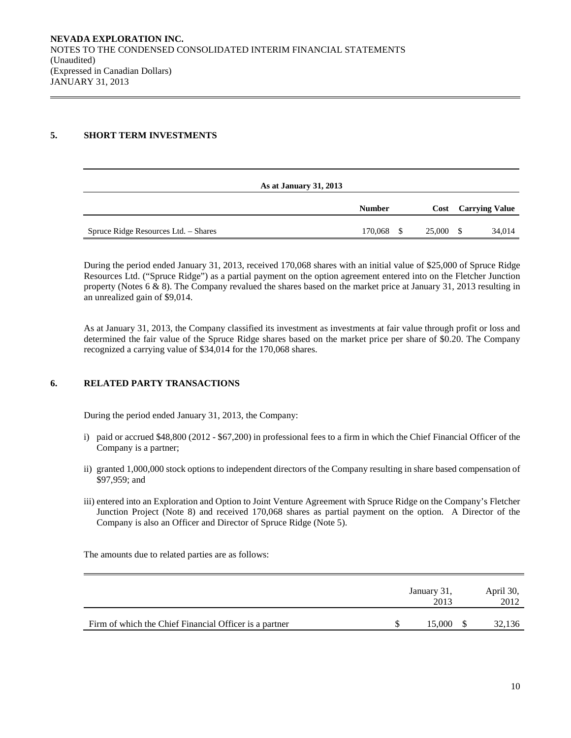# **5. SHORT TERM INVESTMENTS**

|                                      | As at January 31, 2013 |        |      |                            |
|--------------------------------------|------------------------|--------|------|----------------------------|
|                                      | <b>Number</b>          |        |      | <b>Cost</b> Carrying Value |
| Spruce Ridge Resources Ltd. - Shares | 170,068                | 25,000 | - \$ | 34,014                     |

During the period ended January 31, 2013, received 170,068 shares with an initial value of \$25,000 of Spruce Ridge Resources Ltd. ("Spruce Ridge") as a partial payment on the option agreement entered into on the Fletcher Junction property (Notes  $6 \& 8$ ). The Company revalued the shares based on the market price at January 31, 2013 resulting in an unrealized gain of \$9,014.

As at January 31, 2013, the Company classified its investment as investments at fair value through profit or loss and determined the fair value of the Spruce Ridge shares based on the market price per share of \$0.20. The Company recognized a carrying value of \$34,014 for the 170,068 shares.

# **6. RELATED PARTY TRANSACTIONS**

During the period ended January 31, 2013, the Company:

- i) paid or accrued \$48,800 (2012 \$67,200) in professional fees to a firm in which the Chief Financial Officer of the Company is a partner;
- ii) granted 1,000,000 stock options to independent directors of the Company resulting in share based compensation of \$97,959; and
- iii) entered into an Exploration and Option to Joint Venture Agreement with Spruce Ridge on the Company's Fletcher Junction Project (Note 8) and received 170,068 shares as partial payment on the option. A Director of the Company is also an Officer and Director of Spruce Ridge (Note 5).

The amounts due to related parties are as follows:

|                                                        | January 31,<br>2013 | April 30,<br>2012 |
|--------------------------------------------------------|---------------------|-------------------|
| Firm of which the Chief Financial Officer is a partner | 15,000              | 32,136            |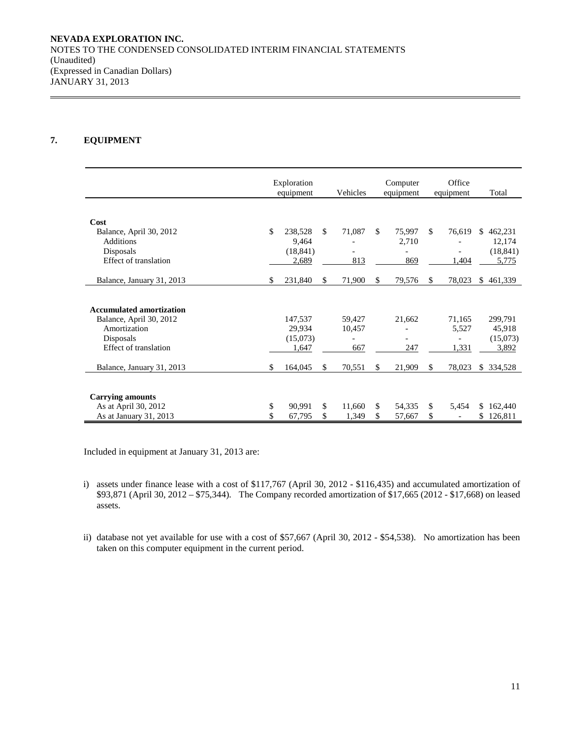# **7. EQUIPMENT**

|                                 | Exploration<br>equipment |     | Vehicles |     | Computer<br>equipment |     | Office<br>equipment |     | Total     |
|---------------------------------|--------------------------|-----|----------|-----|-----------------------|-----|---------------------|-----|-----------|
|                                 |                          |     |          |     |                       |     |                     |     |           |
| Cost                            |                          |     |          |     |                       |     |                     |     |           |
| Balance, April 30, 2012         | \$<br>238,528            | \$. | 71,087   | \$. | 75,997                | \$. | 76,619              | S.  | 462,231   |
| <b>Additions</b>                | 9,464                    |     |          |     | 2,710                 |     |                     |     | 12,174    |
| Disposals                       | (18, 841)                |     |          |     |                       |     |                     |     | (18, 841) |
| <b>Effect of translation</b>    | 2,689                    |     | 813      |     | 869                   |     | 1,404               |     | 5,775     |
|                                 | \$                       | \$. |          | \$. |                       | \$. |                     | \$. |           |
| Balance, January 31, 2013       | 231,840                  |     | 71,900   |     | 79,576                |     | 78,023              |     | 461,339   |
|                                 |                          |     |          |     |                       |     |                     |     |           |
| <b>Accumulated amortization</b> |                          |     |          |     |                       |     |                     |     |           |
| Balance, April 30, 2012         | 147,537                  |     | 59,427   |     | 21,662                |     | 71,165              |     | 299,791   |
| Amortization                    | 29,934                   |     | 10,457   |     |                       |     | 5,527               |     | 45,918    |
| Disposals                       | (15,073)                 |     |          |     |                       |     |                     |     | (15,073)  |
| Effect of translation           | 1,647                    |     | 667      |     | 247                   |     | 1,331               |     | 3,892     |
|                                 | \$                       | \$  |          | \$  |                       | \$  |                     | \$  |           |
| Balance, January 31, 2013       | 164,045                  |     | 70,551   |     | 21,909                |     | 78,023              |     | 334,528   |
|                                 |                          |     |          |     |                       |     |                     |     |           |
| <b>Carrying amounts</b>         |                          |     |          |     |                       |     |                     |     |           |
| As at April 30, 2012            | \$<br>90,991             | \$  | 11,660   | \$  | 54,335                | \$  | 5,454               |     | 162,440   |
| As at January 31, 2013          | \$<br>67,795             | \$  | 1,349    | \$  | 57,667                | \$  |                     | \$  | 126,811   |

Included in equipment at January 31, 2013 are:

- i) assets under finance lease with a cost of \$117,767 (April 30, 2012 \$116,435) and accumulated amortization of \$93,871 (April 30, 2012 – \$75,344). The Company recorded amortization of \$17,665 (2012 - \$17,668) on leased assets.
- ii) database not yet available for use with a cost of \$57,667 (April 30, 2012 \$54,538). No amortization has been taken on this computer equipment in the current period.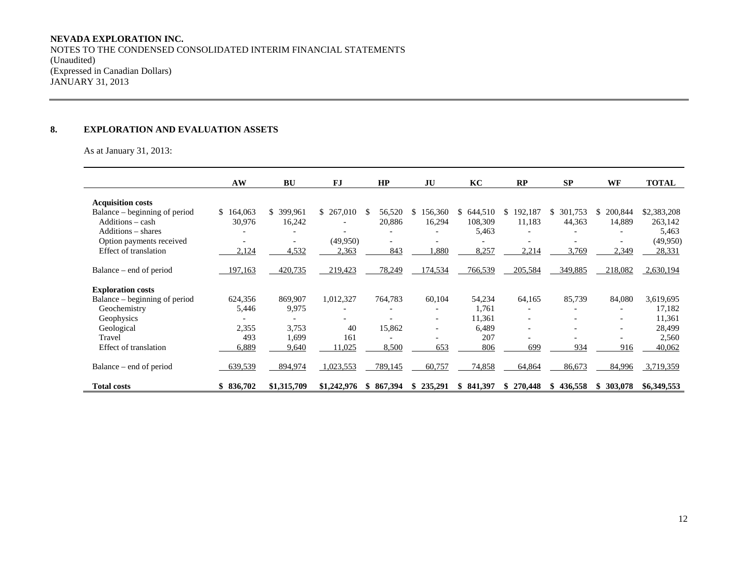# **NEVADA EXPLORATION INC.**

NOTES TO THE CONDENSED CONSOLIDATED INTERIM FINANCIAL STATEMENTS (Unaudited) (Expressed in Canadian Dollars) JANUARY 31, 2013

# **8. EXPLORATION AND EVALUATION ASSETS**

As at January 31, 2013:

|                               | AW        | <b>BU</b>     | <b>FJ</b>                | HP            | JU                       | KC           | RP                       | SP             | <b>WF</b>     | <b>TOTAL</b> |
|-------------------------------|-----------|---------------|--------------------------|---------------|--------------------------|--------------|--------------------------|----------------|---------------|--------------|
| <b>Acquisition costs</b>      |           |               |                          |               |                          |              |                          |                |               |              |
| Balance – beginning of period | \$164,063 | 399,961<br>S. | \$267,010                | 56,520<br>S.  | 156,360<br>S.            | 644,510<br>S | 192,187<br>S.            | 301,753<br>S.  | 200,844<br>S. | \$2,383,208  |
| Additions - cash              | 30,976    | 16,242        |                          | 20,886        | 16,294                   | 108,309      | 11,183                   | 44,363         | 14,889        | 263,142      |
| Additions – shares            |           |               | $\overline{\phantom{a}}$ |               |                          | 5,463        |                          |                |               | 5,463        |
| Option payments received      |           |               | (49,950)                 |               |                          |              |                          |                |               | (49, 950)    |
| Effect of translation         | 2,124     | 4,532         | 2,363                    | 843           | ,880                     | 8,257        | 2,214                    | 3,769          | 2,349         | 28,331       |
| Balance – end of period       | 197,163   | 420,735       | 219,423                  | 78,249        | 174,534                  | 766,539      | 205,584                  | 349,885        | 218,082       | 2,630,194    |
| <b>Exploration costs</b>      |           |               |                          |               |                          |              |                          |                |               |              |
| Balance – beginning of period | 624,356   | 869,907       | 1,012,327                | 764,783       | 60,104                   | 54,234       | 64,165                   | 85,739         | 84,080        | 3,619,695    |
| Geochemistry                  | 5,446     | 9,975         |                          |               |                          | 1,761        |                          |                |               | 17,182       |
| Geophysics                    |           |               |                          |               | $\overline{\phantom{0}}$ | 11,361       | $\overline{\phantom{a}}$ |                |               | 11,361       |
| Geological                    | 2,355     | 3,753         | 40                       | 15,862        |                          | 6.489        | $\overline{\phantom{a}}$ |                |               | 28,499       |
| Travel                        | 493       | 1,699         | 161                      |               |                          | 207          |                          |                |               | 2,560        |
| Effect of translation         | 6,889     | 9,640         | 11,025                   | 8,500         | 653                      | 806          | 699                      | 934            | 916           | 40,062       |
| Balance – end of period       | 639,539   | 894,974       | 1,023,553                | 789,145       | 60,757                   | 74,858       | 64,864                   | 86,673         | 84,996        | 3,719,359    |
| <b>Total costs</b>            | \$836,702 | \$1,315,709   | \$1,242,976              | 867,394<br>S. | 235,291<br>\$            | \$841,397    | 270,448<br>\$            | 436,558<br>SS. | 303,078<br>S. | \$6,349,553  |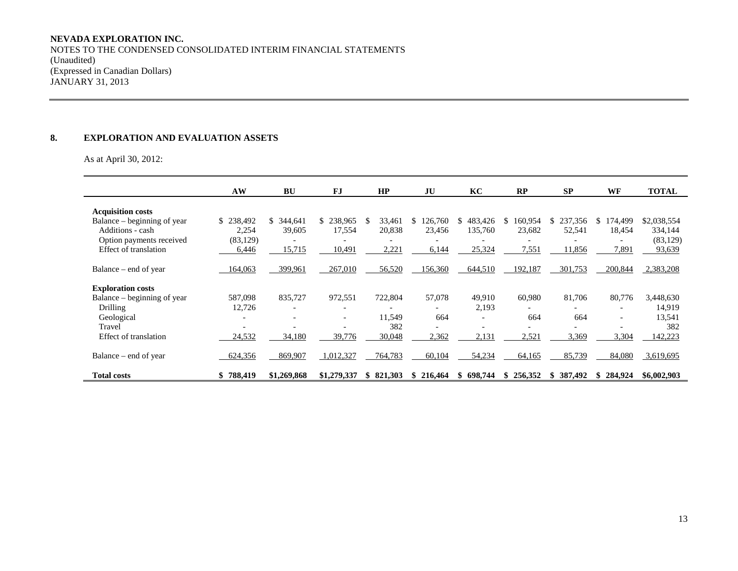# **NEVADA EXPLORATION INC.**

NOTES TO THE CONDENSED CONSOLIDATED INTERIM FINANCIAL STATEMENTS (Unaudited) (Expressed in Canadian Dollars) JANUARY 31, 2013

# **8. EXPLORATION AND EVALUATION ASSETS**

As at April 30, 2012:

|                              | AW        | <b>BU</b>                | <b>FJ</b>                | HP            | JU            | KC                       | <b>RP</b>                | <b>SP</b>                | <b>WF</b>                | <b>TOTAL</b> |
|------------------------------|-----------|--------------------------|--------------------------|---------------|---------------|--------------------------|--------------------------|--------------------------|--------------------------|--------------|
| <b>Acquisition costs</b>     |           |                          |                          |               |               |                          |                          |                          |                          |              |
| Balance – beginning of year  | \$238,492 | 344,641<br>\$.           | 238,965<br>\$.           | 33,461<br>\$. | 126,760<br>S. | 483,426<br>S             | 160,954<br>S.            | 237,356<br>S.            | 174,499<br>S.            | \$2,038,554  |
| Additions - cash             | 2,254     | 39,605                   | 17,554                   | 20,838        | 23,456        | 135,760                  | 23,682                   | 52,541                   | 18,454                   | 334,144      |
| Option payments received     | (83, 129) |                          |                          |               |               | $\overline{\phantom{0}}$ | $\overline{\phantom{a}}$ |                          | $\overline{\phantom{a}}$ | (83, 129)    |
| Effect of translation        | 6,446     | 15,715                   | 10,491                   | 2,221         | 6,144         | 25,324                   | 7,551                    | 11,856                   | 7,891                    | 93,639       |
| Balance – end of year        | 164,063   | 399,961                  | 267,010                  | 56,520        | 156,360       | 644,510                  | 192,187                  | 301,753                  | 200,844                  | 2,383,208    |
| <b>Exploration costs</b>     |           |                          |                          |               |               |                          |                          |                          |                          |              |
| Balance – beginning of year  | 587,098   | 835,727                  | 972,551                  | 722,804       | 57,078        | 49,910                   | 60,980                   | 81,706                   | 80,776                   | 3,448,630    |
| Drilling                     | 12,726    |                          | $\overline{\phantom{a}}$ |               |               | 2,193                    |                          |                          | $\overline{\phantom{a}}$ | 14,919       |
| Geological                   |           | $\overline{\phantom{0}}$ | $\overline{\phantom{a}}$ | 11,549        | 664           | $\overline{\phantom{a}}$ | 664                      | 664                      | $\overline{\phantom{a}}$ | 13,541       |
| Travel                       |           |                          | $\overline{\phantom{0}}$ | 382           |               | $\overline{\phantom{a}}$ | $\overline{\phantom{a}}$ | $\overline{\phantom{0}}$ | $\overline{\phantom{a}}$ | 382          |
| <b>Effect of translation</b> | 24,532    | 34,180                   | 39,776                   | 30,048        | 2,362         | 2,131                    | 2,521                    | 3,369                    | 3,304                    | 142,223      |
| Balance – end of year        | 624,356   | 869,907                  | 1,012,327                | 764,783       | 60,104        | 54,234                   | 64,165                   | 85,739                   | 84,080                   | 3,619,695    |
| <b>Total costs</b>           | 788,419   | \$1,269,868              | \$1,279,337              | \$821.303     | 216,464<br>Ъ. | 698.744<br>S             | 256,352<br>S             | 387,492<br>S.            | 284,924<br>S.            | \$6,002,903  |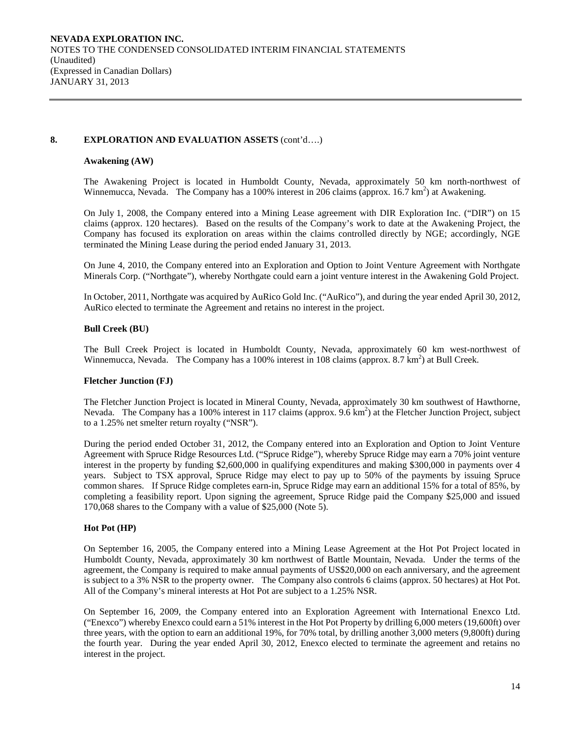### **8. EXPLORATION AND EVALUATION ASSETS** (cont'd….)

### **Awakening (AW)**

The Awakening Project is located in Humboldt County, Nevada, approximately 50 km north-northwest of Winnemucca, Nevada. The Company has a 100% interest in 206 claims (approx. 16.7 km<sup>2</sup>) at Awakening.

On July 1, 2008, the Company entered into a Mining Lease agreement with DIR Exploration Inc. ("DIR") on 15 claims (approx. 120 hectares). Based on the results of the Company's work to date at the Awakening Project, the Company has focused its exploration on areas within the claims controlled directly by NGE; accordingly, NGE terminated the Mining Lease during the period ended January 31, 2013.

On June 4, 2010, the Company entered into an Exploration and Option to Joint Venture Agreement with Northgate Minerals Corp. ("Northgate"), whereby Northgate could earn a joint venture interest in the Awakening Gold Project.

In October, 2011, Northgate was acquired by AuRico Gold Inc. ("AuRico"), and during the year ended April 30, 2012, AuRico elected to terminate the Agreement and retains no interest in the project.

### **Bull Creek (BU)**

The Bull Creek Project is located in Humboldt County, Nevada, approximately 60 km west-northwest of Winnemucca, Nevada. The Company has a 100% interest in 108 claims (approx. 8.7 km<sup>2</sup>) at Bull Creek.

#### **Fletcher Junction (FJ)**

The Fletcher Junction Project is located in Mineral County, Nevada, approximately 30 km southwest of Hawthorne, Nevada. The Company has a 100% interest in 117 claims (approx. 9.6 km<sup>2</sup>) at the Fletcher Junction Project, subject to a 1.25% net smelter return royalty ("NSR").

During the period ended October 31, 2012, the Company entered into an Exploration and Option to Joint Venture Agreement with Spruce Ridge Resources Ltd. ("Spruce Ridge"), whereby Spruce Ridge may earn a 70% joint venture interest in the property by funding \$2,600,000 in qualifying expenditures and making \$300,000 in payments over 4 years. Subject to TSX approval, Spruce Ridge may elect to pay up to 50% of the payments by issuing Spruce common shares. If Spruce Ridge completes earn-in, Spruce Ridge may earn an additional 15% for a total of 85%, by completing a feasibility report. Upon signing the agreement, Spruce Ridge paid the Company \$25,000 and issued 170,068 shares to the Company with a value of \$25,000 (Note 5).

# **Hot Pot (HP)**

On September 16, 2005, the Company entered into a Mining Lease Agreement at the Hot Pot Project located in Humboldt County, Nevada, approximately 30 km northwest of Battle Mountain, Nevada. Under the terms of the agreement, the Company is required to make annual payments of US\$20,000 on each anniversary, and the agreement is subject to a 3% NSR to the property owner. The Company also controls 6 claims (approx. 50 hectares) at Hot Pot. All of the Company's mineral interests at Hot Pot are subject to a 1.25% NSR.

On September 16, 2009, the Company entered into an Exploration Agreement with International Enexco Ltd. ("Enexco") whereby Enexco could earn a 51% interest in the Hot Pot Property by drilling 6,000 meters (19,600ft) over three years, with the option to earn an additional 19%, for 70% total, by drilling another 3,000 meters (9,800ft) during the fourth year. During the year ended April 30, 2012, Enexco elected to terminate the agreement and retains no interest in the project.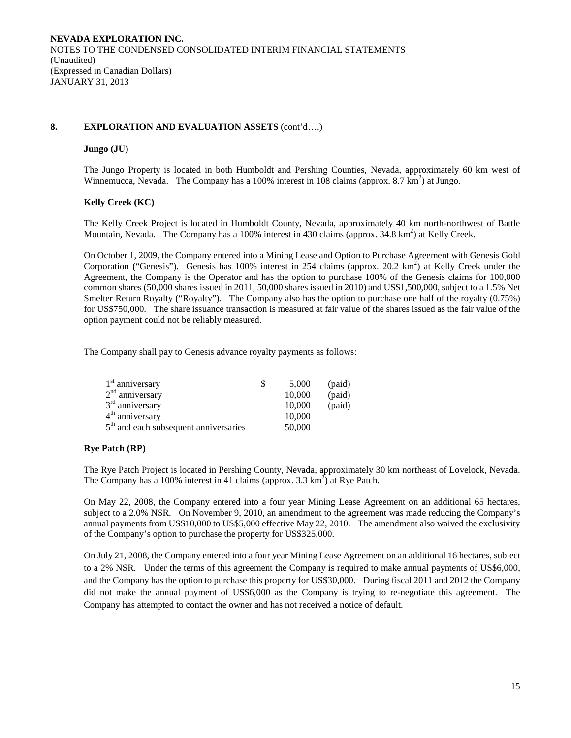#### **8. EXPLORATION AND EVALUATION ASSETS** (cont'd….)

# **Jungo (JU)**

The Jungo Property is located in both Humboldt and Pershing Counties, Nevada, approximately 60 km west of Winnemucca, Nevada. The Company has a 100% interest in 108 claims (approx. 8.7  $\text{km}^2$ ) at Jungo.

### **Kelly Creek (KC)**

The Kelly Creek Project is located in Humboldt County, Nevada, approximately 40 km north-northwest of Battle Mountain, Nevada. The Company has a 100% interest in 430 claims (approx. 34.8 km<sup>2</sup>) at Kelly Creek.

On October 1, 2009, the Company entered into a Mining Lease and Option to Purchase Agreement with Genesis Gold Corporation ("Genesis"). Genesis has 100% interest in 254 claims (approx. 20.2 km<sup>2</sup>) at Kelly Creek under the Agreement, the Company is the Operator and has the option to purchase 100% of the Genesis claims for 100,000 common shares (50,000 shares issued in 2011, 50,000 shares issued in 2010) and US\$1,500,000, subject to a 1.5% Net Smelter Return Royalty ("Royalty"). The Company also has the option to purchase one half of the royalty (0.75%) for US\$750,000. The share issuance transaction is measured at fair value of the shares issued as the fair value of the option payment could not be reliably measured.

The Company shall pay to Genesis advance royalty payments as follows:

| $1st$ anniversary                       | 5,000  | (paid) |
|-----------------------------------------|--------|--------|
| $2nd$ anniversary                       | 10,000 | (paid) |
| $3rd$ anniversary                       | 10,000 | (paid) |
| $4th$ anniversary                       | 10,000 |        |
| $5th$ and each subsequent anniversaries | 50,000 |        |

# **Rye Patch (RP)**

The Rye Patch Project is located in Pershing County, Nevada, approximately 30 km northeast of Lovelock, Nevada. The Company has a 100% interest in 41 claims (approx.  $3.3 \text{ km}^2$ ) at Rye Patch.

On May 22, 2008, the Company entered into a four year Mining Lease Agreement on an additional 65 hectares, subject to a 2.0% NSR. On November 9, 2010, an amendment to the agreement was made reducing the Company's annual payments from US\$10,000 to US\$5,000 effective May 22, 2010. The amendment also waived the exclusivity of the Company's option to purchase the property for US\$325,000.

On July 21, 2008, the Company entered into a four year Mining Lease Agreement on an additional 16 hectares, subject to a 2% NSR. Under the terms of this agreement the Company is required to make annual payments of US\$6,000, and the Company has the option to purchase this property for US\$30,000. During fiscal 2011 and 2012 the Company did not make the annual payment of US\$6,000 as the Company is trying to re-negotiate this agreement. The Company has attempted to contact the owner and has not received a notice of default.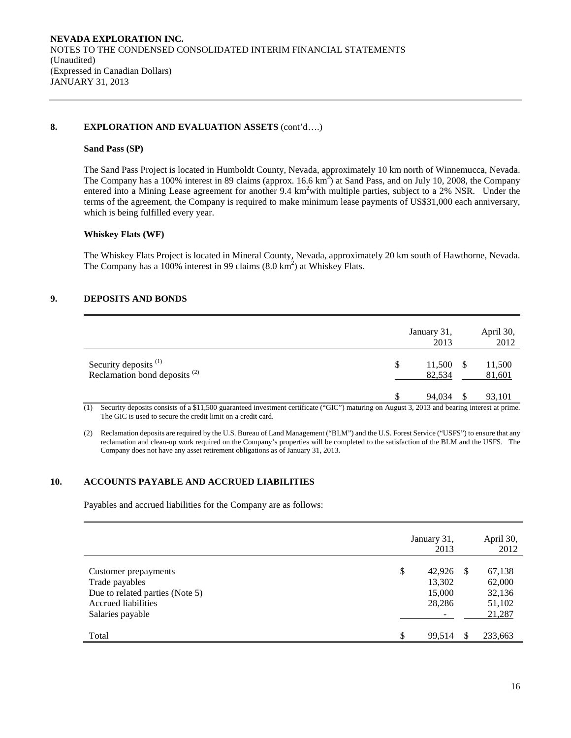### **8. EXPLORATION AND EVALUATION ASSETS** (cont'd….)

#### **Sand Pass (SP)**

The Sand Pass Project is located in Humboldt County, Nevada, approximately 10 km north of Winnemucca, Nevada. The Company has a 100% interest in 89 claims (approx.  $16.6 \text{ km}^2$ ) at Sand Pass, and on July 10, 2008, the Company entered into a Mining Lease agreement for another 9.4 km<sup>2</sup> with multiple parties, subject to a 2% NSR. Under the terms of the agreement, the Company is required to make minimum lease payments of US\$31,000 each anniversary, which is being fulfilled every year.

#### **Whiskey Flats (WF)**

The Whiskey Flats Project is located in Mineral County, Nevada, approximately 20 km south of Hawthorne, Nevada. The Company has a 100% interest in 99 claims  $(8.0 \text{ km}^2)$  at Whiskey Flats.

# **9. DEPOSITS AND BONDS**

|                                                            | January 31,<br>2013       | April 30,<br>2012 |
|------------------------------------------------------------|---------------------------|-------------------|
| Security deposits $(1)$<br>Reclamation bond deposits $(2)$ | \$<br>11,500 \$<br>82,534 | 11,500<br>81,601  |
|                                                            | 94,034                    | 93,101            |

(1) Security deposits consists of a \$11,500 guaranteed investment certificate ("GIC") maturing on August 3, 2013 and bearing interest at prime. The GIC is used to secure the credit limit on a credit card.

(2) Reclamation deposits are required by the U.S. Bureau of Land Management ("BLM") and the U.S. Forest Service ("USFS") to ensure that any reclamation and clean-up work required on the Company's properties will be completed to the satisfaction of the BLM and the USFS. The Company does not have any asset retirement obligations as of January 31, 2013.

# **10. ACCOUNTS PAYABLE AND ACCRUED LIABILITIES**

Payables and accrued liabilities for the Company are as follows:

|                                                                                                                      | January 31,<br>2013                        |     | April 30,<br>2012                              |
|----------------------------------------------------------------------------------------------------------------------|--------------------------------------------|-----|------------------------------------------------|
| Customer prepayments<br>Trade payables<br>Due to related parties (Note 5)<br>Accrued liabilities<br>Salaries payable | \$<br>42.926<br>13,302<br>15,000<br>28,286 | -S  | 67,138<br>62,000<br>32,136<br>51,102<br>21,287 |
| Total                                                                                                                | \$<br>99,514                               | \$. | 233,663                                        |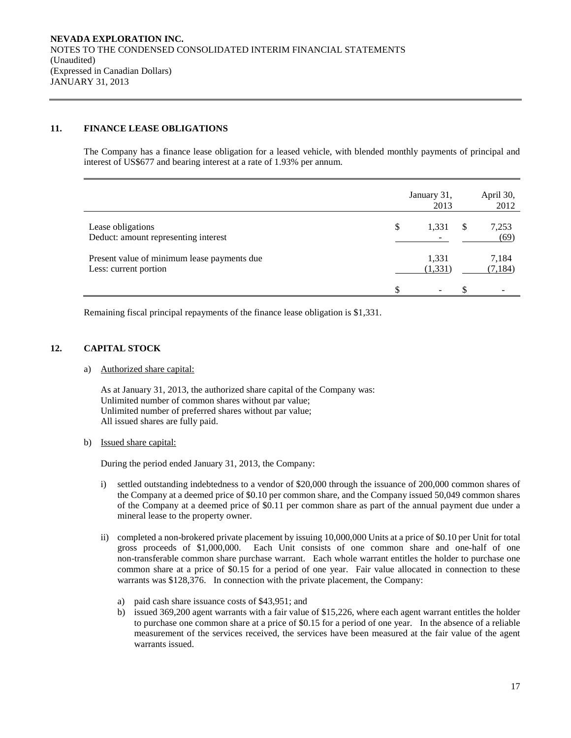# **11. FINANCE LEASE OBLIGATIONS**

The Company has a finance lease obligation for a leased vehicle, with blended monthly payments of principal and interest of US\$677 and bearing interest at a rate of 1.93% per annum.

|                                                                      | January 31,<br>2013 | April 30,<br>2012 |
|----------------------------------------------------------------------|---------------------|-------------------|
| Lease obligations<br>Deduct: amount representing interest            | \$<br>1,331         | 7,253<br>(69)     |
| Present value of minimum lease payments due<br>Less: current portion | 1,331<br>(1, 331)   | 7,184<br>(7, 184) |
|                                                                      |                     |                   |

Remaining fiscal principal repayments of the finance lease obligation is \$1,331.

# **12. CAPITAL STOCK**

a) Authorized share capital:

As at January 31, 2013, the authorized share capital of the Company was: Unlimited number of common shares without par value; Unlimited number of preferred shares without par value; All issued shares are fully paid.

# b) Issued share capital:

During the period ended January 31, 2013, the Company:

- i) settled outstanding indebtedness to a vendor of \$20,000 through the issuance of 200,000 common shares of the Company at a deemed price of \$0.10 per common share, and the Company issued 50,049 common shares of the Company at a deemed price of \$0.11 per common share as part of the annual payment due under a mineral lease to the property owner.
- ii) completed a non-brokered private placement by issuing 10,000,000 Units at a price of \$0.10 per Unit for total gross proceeds of \$1,000,000. Each Unit consists of one common share and one-half of one non-transferable common share purchase warrant. Each whole warrant entitles the holder to purchase one common share at a price of \$0.15 for a period of one year. Fair value allocated in connection to these warrants was \$128,376. In connection with the private placement, the Company:
	- a) paid cash share issuance costs of \$43,951; and
	- b) issued 369,200 agent warrants with a fair value of \$15,226, where each agent warrant entitles the holder to purchase one common share at a price of \$0.15 for a period of one year. In the absence of a reliable measurement of the services received, the services have been measured at the fair value of the agent warrants issued.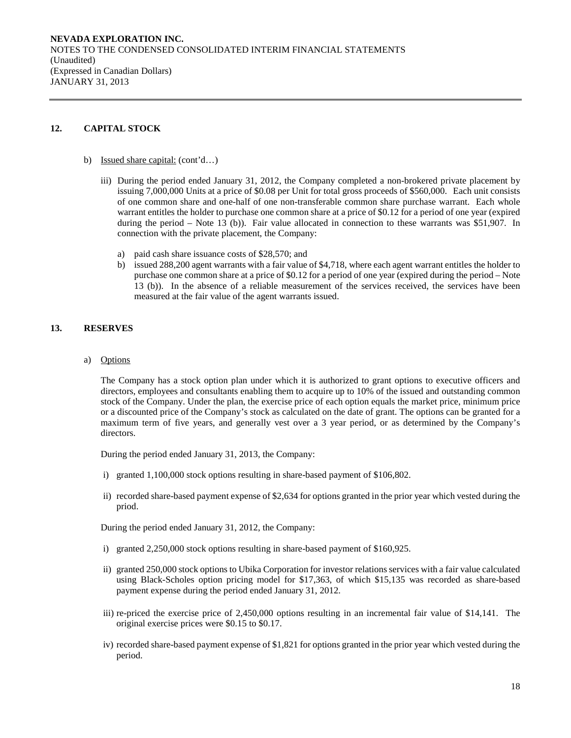# **12. CAPITAL STOCK**

- b) Issued share capital: (cont'd…)
	- iii) During the period ended January 31, 2012, the Company completed a non-brokered private placement by issuing 7,000,000 Units at a price of \$0.08 per Unit for total gross proceeds of \$560,000. Each unit consists of one common share and one-half of one non-transferable common share purchase warrant. Each whole warrant entitles the holder to purchase one common share at a price of \$0.12 for a period of one year (expired during the period – Note 13 (b)). Fair value allocated in connection to these warrants was \$51,907. In connection with the private placement, the Company:
		- a) paid cash share issuance costs of \$28,570; and
		- b) issued 288,200 agent warrants with a fair value of \$4,718, where each agent warrant entitles the holder to purchase one common share at a price of \$0.12 for a period of one year (expired during the period – Note 13 (b)). In the absence of a reliable measurement of the services received, the services have been measured at the fair value of the agent warrants issued.

# **13. RESERVES**

a) Options

The Company has a stock option plan under which it is authorized to grant options to executive officers and directors, employees and consultants enabling them to acquire up to 10% of the issued and outstanding common stock of the Company. Under the plan, the exercise price of each option equals the market price, minimum price or a discounted price of the Company's stock as calculated on the date of grant. The options can be granted for a maximum term of five years, and generally vest over a 3 year period, or as determined by the Company's directors.

During the period ended January 31, 2013, the Company:

- i) granted 1,100,000 stock options resulting in share-based payment of \$106,802.
- ii) recorded share-based payment expense of \$2,634 for options granted in the prior year which vested during the priod.

During the period ended January 31, 2012, the Company:

- i) granted 2,250,000 stock options resulting in share-based payment of \$160,925.
- ii) granted 250,000 stock options to Ubika Corporation for investor relations services with a fair value calculated using Black-Scholes option pricing model for \$17,363, of which \$15,135 was recorded as share-based payment expense during the period ended January 31, 2012.
- iii) re-priced the exercise price of 2,450,000 options resulting in an incremental fair value of \$14,141. The original exercise prices were \$0.15 to \$0.17.
- iv) recorded share-based payment expense of \$1,821 for options granted in the prior year which vested during the period.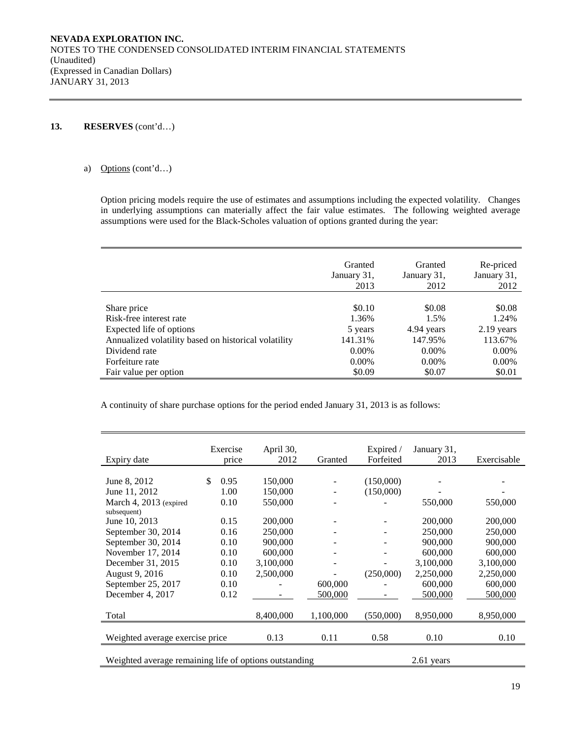# **13. RESERVES** (cont'd…)

### a) Options (cont'd…)

Option pricing models require the use of estimates and assumptions including the expected volatility. Changes in underlying assumptions can materially affect the fair value estimates. The following weighted average assumptions were used for the Black-Scholes valuation of options granted during the year:

|                                                      | Granted<br>January 31,<br>2013 | Granted<br>January 31,<br>2012 | Re-priced<br>January 31,<br>2012 |
|------------------------------------------------------|--------------------------------|--------------------------------|----------------------------------|
| Share price                                          | \$0.10                         | \$0.08                         | \$0.08                           |
| Risk-free interest rate                              | 1.36%                          | 1.5%                           | 1.24%                            |
| Expected life of options                             | 5 years                        | 4.94 years                     | 2.19 years                       |
| Annualized volatility based on historical volatility | 141.31%                        | 147.95%                        | 113.67%                          |
| Dividend rate                                        | $0.00\%$                       | $0.00\%$                       | $0.00\%$                         |
| Forfeiture rate                                      | 0.00%                          | $0.00\%$                       | $0.00\%$                         |
| Fair value per option                                | \$0.09                         | \$0.07                         | \$0.01                           |

A continuity of share purchase options for the period ended January 31, 2013 is as follows:

|                                                        | Exercise   | April 30, |           | Expired / | January 31, |             |
|--------------------------------------------------------|------------|-----------|-----------|-----------|-------------|-------------|
| Expiry date                                            | price      | 2012      | Granted   | Forfeited | 2013        | Exercisable |
|                                                        |            |           |           |           |             |             |
| June 8, 2012                                           | \$<br>0.95 | 150,000   |           | (150,000) |             |             |
| June 11, 2012                                          | 1.00       | 150,000   |           | (150,000) |             |             |
| March 4, 2013 (expired                                 | 0.10       | 550,000   |           |           | 550,000     | 550,000     |
| subsequent)                                            |            |           |           |           |             |             |
| June 10, 2013                                          | 0.15       | 200,000   |           |           | 200,000     | 200,000     |
| September 30, 2014                                     | 0.16       | 250,000   |           |           | 250,000     | 250,000     |
| September 30, 2014                                     | 0.10       | 900,000   |           |           | 900,000     | 900,000     |
| November 17, 2014                                      | 0.10       | 600,000   |           |           | 600,000     | 600,000     |
| December 31, 2015                                      | 0.10       | 3,100,000 | ۰         |           | 3,100,000   | 3,100,000   |
| August 9, 2016                                         | 0.10       | 2,500,000 |           | (250,000) | 2,250,000   | 2,250,000   |
| September 25, 2017                                     | 0.10       |           | 600,000   |           | 600,000     | 600,000     |
| December 4, 2017                                       | 0.12       |           | 500,000   |           | 500,000     | 500,000     |
|                                                        |            |           |           |           |             |             |
| Total                                                  |            | 8,400,000 | 1,100,000 | (550,000) | 8,950,000   | 8,950,000   |
|                                                        |            |           |           |           |             |             |
| Weighted average exercise price                        |            | 0.13      | 0.11      | 0.58      | 0.10        | 0.10        |
|                                                        |            |           |           |           |             |             |
| Weighted average remaining life of options outstanding |            |           |           |           | 2.61 years  |             |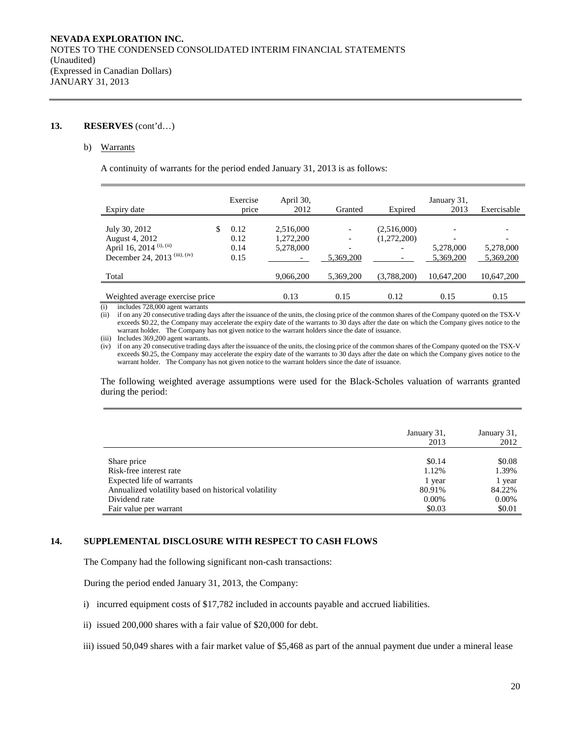# **13. RESERVES** (cont'd…)

#### b) Warrants

A continuity of warrants for the period ended January 31, 2013 is as follows:

| Expiry date                                                                                             | Exercise<br>price            | April 30,<br>2012                   | Granted                               | Expired                    | January 31,<br>2013                                | Exercisable            |
|---------------------------------------------------------------------------------------------------------|------------------------------|-------------------------------------|---------------------------------------|----------------------------|----------------------------------------------------|------------------------|
| July 30, 2012<br>August 4, 2012<br>April 16, 2014 <sup>(i), (ii)</sup><br>December 24, 2013 (iii), (iv) | 0.12<br>0.12<br>0.14<br>0.15 | 2,516,000<br>1,272,200<br>5,278,000 | $\overline{\phantom{0}}$<br>5.369.200 | (2,516,000)<br>(1,272,200) | $\overline{\phantom{0}}$<br>5,278,000<br>5,369,200 | 5,278,000<br>5,369,200 |
| Total                                                                                                   |                              | 9,066,200                           | 5,369,200                             | (3,788,200)                | 10,647,200                                         | 10,647,200             |
| Weighted average exercise price                                                                         |                              | 0.13                                | 0.15                                  | 0.12                       | 0.15                                               | 0.15                   |

(i) includes 728,000 agent warrants

(ii) if on any 20 consecutive trading days after the issuance of the units, the closing price of the common shares of the Company quoted on the TSX-V exceeds \$0.22, the Company may accelerate the expiry date of the warrants to 30 days after the date on which the Company gives notice to the warrant holder. The Company has not given notice to the warrant holders since the date of issuance.

(iii) Includes 369,200 agent warrants.

(iv) if on any 20 consecutive trading days after the issuance of the units, the closing price of the common shares of the Company quoted on the TSX-V exceeds \$0.25, the Company may accelerate the expiry date of the warrants to 30 days after the date on which the Company gives notice to the warrant holder. The Company has not given notice to the warrant holders since the date of issuance.

The following weighted average assumptions were used for the Black-Scholes valuation of warrants granted during the period:

|                                                      | January 31,<br>2013 | January 31,<br>2012 |
|------------------------------------------------------|---------------------|---------------------|
| Share price                                          | \$0.14              | \$0.08              |
| Risk-free interest rate                              | 1.12%               | 1.39%               |
| Expected life of warrants                            | 1 year              | 1 year              |
| Annualized volatility based on historical volatility | 80.91%              | 84.22%              |
| Dividend rate                                        | $0.00\%$            | 0.00%               |
| Fair value per warrant                               | \$0.03              | \$0.01              |

# **14. SUPPLEMENTAL DISCLOSURE WITH RESPECT TO CASH FLOWS**

The Company had the following significant non-cash transactions:

During the period ended January 31, 2013, the Company:

- i) incurred equipment costs of \$17,782 included in accounts payable and accrued liabilities.
- ii) issued 200,000 shares with a fair value of \$20,000 for debt.

iii) issued 50,049 shares with a fair market value of \$5,468 as part of the annual payment due under a mineral lease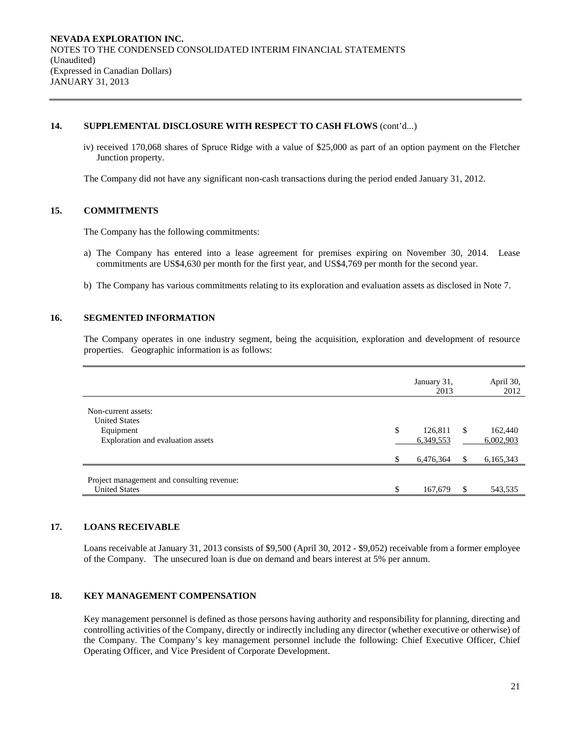# **14. SUPPLEMENTAL DISCLOSURE WITH RESPECT TO CASH FLOWS** (cont'd...)

iv) received 170,068 shares of Spruce Ridge with a value of \$25,000 as part of an option payment on the Fletcher Junction property.

The Company did not have any significant non-cash transactions during the period ended January 31, 2012.

# **15. COMMITMENTS**

The Company has the following commitments:

- a) The Company has entered into a lease agreement for premises expiring on November 30, 2014. Lease commitments are US\$4,630 per month for the first year, and US\$4,769 per month for the second year.
- b) The Company has various commitments relating to its exploration and evaluation assets as disclosed in Note 7.

#### **16. SEGMENTED INFORMATION**

The Company operates in one industry segment, being the acquisition, exploration and development of resource properties. Geographic information is as follows:

|                                                                    | January 31,<br>2013        |               | April 30,<br>2012    |
|--------------------------------------------------------------------|----------------------------|---------------|----------------------|
| Non-current assets:<br><b>United States</b>                        |                            |               |                      |
| Equipment<br>Exploration and evaluation assets                     | \$<br>126,811<br>6,349,553 | <sup>\$</sup> | 162,440<br>6,002,903 |
|                                                                    | \$<br>6,476,364            | \$            | 6,165,343            |
| Project management and consulting revenue:<br><b>United States</b> | \$<br>167,679              | \$.           | 543,535              |

#### **17. LOANS RECEIVABLE**

Loans receivable at January 31, 2013 consists of \$9,500 (April 30, 2012 - \$9,052) receivable from a former employee of the Company. The unsecured loan is due on demand and bears interest at 5% per annum.

### **18. KEY MANAGEMENT COMPENSATION**

Key management personnel is defined as those persons having authority and responsibility for planning, directing and controlling activities of the Company, directly or indirectly including any director (whether executive or otherwise) of the Company. The Company's key management personnel include the following: Chief Executive Officer, Chief Operating Officer, and Vice President of Corporate Development.